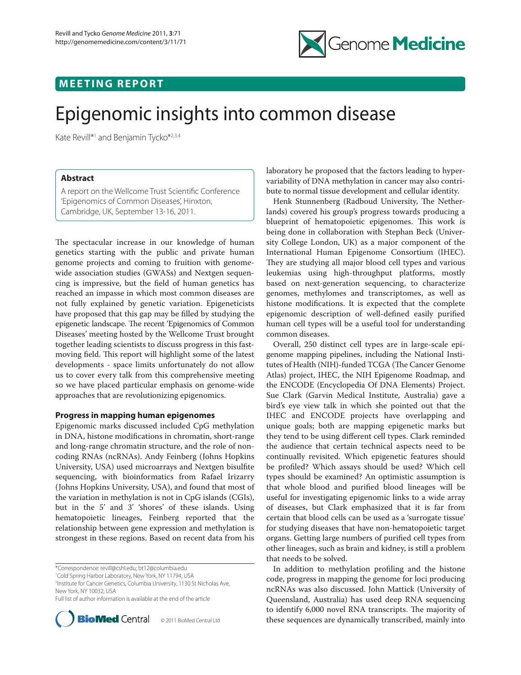

## **MEETING REPORT**

# Epigenomic insights into common disease

Kate Revill\*<sup>1</sup> and Benjamin Tycko<sup>\*2,3,4</sup>

#### **Abstract**

A report on the Wellcome Trust Scientific Conference 'Epigenomics of Common Diseases', Hinxton, Cambridge, UK, September 13-16, 2011.

The spectacular increase in our knowledge of human genetics starting with the public and private human genome projects and coming to fruition with genomewide association studies (GWASs) and Nextgen sequencing is impressive, but the field of human genetics has reached an impasse in which most common diseases are not fully explained by genetic variation. Epigeneticists have proposed that this gap may be filled by studying the epigenetic landscape. The recent 'Epigenomics of Common Diseases' meeting hosted by the Wellcome Trust brought together leading scientists to discuss progress in this fastmoving field. This report will highlight some of the latest developments - space limits unfortunately do not allow us to cover every talk from this comprehensive meeting so we have placed particular emphasis on genome-wide approaches that are revolutionizing epigenomics.

#### **Progress in mapping human epigenomes**

Epigenomic marks discussed included CpG methylation in DNA, histone modifications in chromatin, short-range and long-range chromatin structure, and the role of noncoding RNAs (ncRNAs). Andy Feinberg (Johns Hopkins University, USA) used microarrays and Nextgen bisulfite sequencing, with bioinformatics from Rafael Irizarry (Johns Hopkins University, USA), and found that most of the variation in methylation is not in CpG islands (CGIs), but in the 5' and 3' 'shores' of these islands. Using hematopoietic lineages, Feinberg reported that the relationship between gene expression and methylation is strongest in these regions. Based on recent data from his

\*Correspondence: revill@cshl.edu; bt12@columbia.edu

1 Cold Spring Harbor Laboratory, New York, NY 11794, USA

2 Institute for Cancer Genetics, Columbia University, 1130 St Nicholas Ave, New York, NY 10032, USA

Full list of author information is available at the end of the article



laboratory he proposed that the factors leading to hypervariability of DNA methylation in cancer may also contribute to normal tissue development and cellular identity.

Henk Stunnenberg (Radboud University, The Netherlands) covered his group's progress towards producing a blueprint of hematopoietic epigenomes. This work is being done in collaboration with Stephan Beck (University College London, UK) as a major component of the International Human Epigenome Consortium (IHEC). They are studying all major blood cell types and various leukemias using high-throughput platforms, mostly based on next-generation sequencing, to characterize genomes, methylomes and transcriptomes, as well as histone modifications. It is expected that the complete epigenomic description of well-defined easily purified human cell types will be a useful tool for understanding common diseases.

Overall, 250 distinct cell types are in large-scale epigenome mapping pipelines, including the National Institutes of Health (NIH)-funded TCGA (The Cancer Genome Atlas) project, IHEC, the NIH Epigenome Roadmap, and the ENCODE (Encyclopedia Of DNA Elements) Project. Sue Clark (Garvin Medical Institute, Australia) gave a bird's eye view talk in which she pointed out that the IHEC and ENCODE projects have overlapping and unique goals; both are mapping epigenetic marks but they tend to be using different cell types. Clark reminded the audience that certain technical aspects need to be continually revisited. Which epigenetic features should be profiled? Which assays should be used? Which cell types should be examined? An optimistic assumption is that whole blood and purified blood lineages will be useful for investigating epigenomic links to a wide array of diseases, but Clark emphasized that it is far from certain that blood cells can be used as a 'surrogate tissue' for studying diseases that have non-hematopoietic target organs. Getting large numbers of purified cell types from other lineages, such as brain and kidney, is still a problem that needs to be solved.

In addition to methylation profiling and the histone code, progress in mapping the genome for loci producing ncRNAs was also discussed. John Mattick (University of Queensland, Australia) has used deep RNA sequencing to identify 6,000 novel RNA transcripts. The majority of these sequences are dynamically transcribed, mainly into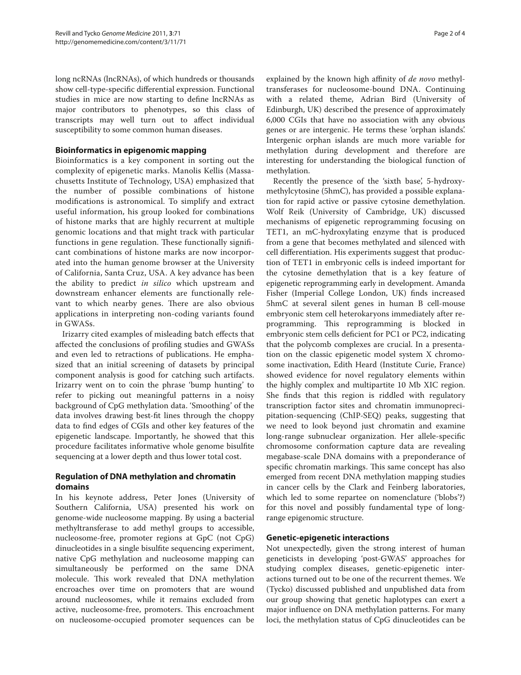long ncRNAs (lncRNAs), of which hundreds or thousands show cell-type-specific differential expression. Functional studies in mice are now starting to define lncRNAs as major contributors to phenotypes, so this class of transcripts may well turn out to affect individual susceptibility to some common human diseases.

### **Bioinformatics in epigenomic mapping**

Bioinformatics is a key component in sorting out the complexity of epigenetic marks. Manolis Kellis (Massachusetts Institute of Technology, USA) emphasized that the number of possible combinations of histone modifications is astronomical. To simplify and extract useful information, his group looked for combinations of histone marks that are highly recurrent at multiple genomic locations and that might track with particular functions in gene regulation. These functionally significant combinations of histone marks are now incorporated into the human genome browser at the University of California, Santa Cruz, USA. A key advance has been the ability to predict *in silico* which upstream and downstream enhancer elements are functionally relevant to which nearby genes. There are also obvious applications in interpreting non-coding variants found in GWASs.

Irizarry cited examples of misleading batch effects that affected the conclusions of profiling studies and GWASs and even led to retractions of publications. He emphasized that an initial screening of datasets by principal component analysis is good for catching such artifacts. Irizarry went on to coin the phrase 'bump hunting' to refer to picking out meaningful patterns in a noisy background of CpG methylation data. 'Smoothing' of the data involves drawing best-fit lines through the choppy data to find edges of CGIs and other key features of the epigenetic landscape. Importantly, he showed that this procedure facilitates informative whole genome bisulfite sequencing at a lower depth and thus lower total cost.

## **Regulation of DNA methylation and chromatin domains**

In his keynote address, Peter Jones (University of Southern California, USA) presented his work on genome-wide nucleosome mapping. By using a bacterial methyltransferase to add methyl groups to accessible, nucleosome-free, promoter regions at GpC (not CpG) dinucleotides in a single bisulfite sequencing experiment, native CpG methylation and nucleosome mapping can simultaneously be performed on the same DNA molecule. This work revealed that DNA methylation encroaches over time on promoters that are wound around nucleosomes, while it remains excluded from active, nucleosome-free, promoters. This encroachment on nucleosome-occupied promoter sequences can be explained by the known high affinity of *de novo* methyltransferases for nucleosome-bound DNA. Continuing with a related theme, Adrian Bird (University of Edinburgh, UK) described the presence of approximately 6,000 CGIs that have no association with any obvious genes or are intergenic. He terms these 'orphan islands'. Intergenic orphan islands are much more variable for methylation during development and therefore are interesting for understanding the biological function of methylation.

Recently the presence of the 'sixth base', 5-hydroxymethylcytosine (5hmC), has provided a possible explanation for rapid active or passive cytosine demethylation. Wolf Reik (University of Cambridge, UK) discussed mechanisms of epigenetic reprogramming focusing on TET1, an mC-hydroxylating enzyme that is produced from a gene that becomes methylated and silenced with cell differentiation. His experiments suggest that production of TET1 in embryonic cells is indeed important for the cytosine demethylation that is a key feature of epigenetic reprogramming early in development. Amanda Fisher (Imperial College London, UK) finds increased 5hmC at several silent genes in human B cell-mouse embryonic stem cell heterokaryons immediately after reprogramming. This reprogramming is blocked in embryonic stem cells deficient for PC1 or PC2, indicating that the polycomb complexes are crucial. In a presentation on the classic epigenetic model system X chromosome inactivation, Edith Heard (Institute Curie, France) showed evidence for novel regulatory elements within the highly complex and multipartite 10 Mb XIC region. She finds that this region is riddled with regulatory transcription factor sites and chromatin immunoprecipitation-sequencing (ChIP-SEQ) peaks, suggesting that we need to look beyond just chromatin and examine long-range subnuclear organization. Her allele-specific chromosome conformation capture data are revealing megabase-scale DNA domains with a preponderance of specific chromatin markings. This same concept has also emerged from recent DNA methylation mapping studies in cancer cells by the Clark and Feinberg laboratories, which led to some repartee on nomenclature ('blobs'?) for this novel and possibly fundamental type of longrange epigenomic structure.

#### **Genetic-epigenetic interactions**

Not unexpectedly, given the strong interest of human geneticists in developing 'post-GWAS' approaches for studying complex diseases, genetic-epigenetic interactions turned out to be one of the recurrent themes. We (Tycko) discussed published and unpublished data from our group showing that genetic haplotypes can exert a major influence on DNA methylation patterns. For many loci, the methylation status of CpG dinucleotides can be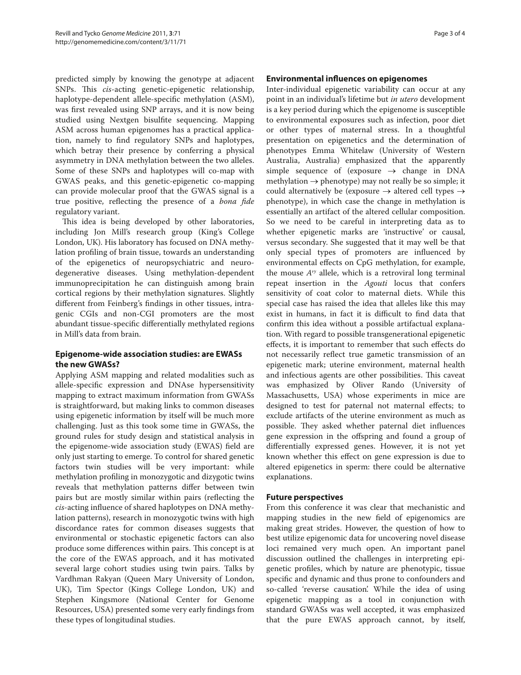predicted simply by knowing the genotype at adjacent SNPs. This *cis*-acting genetic-epigenetic relationship, haplotype-dependent allele-specific methylation (ASM), was first revealed using SNP arrays, and it is now being studied using Nextgen bisulfite sequencing. Mapping ASM across human epigenomes has a practical application, namely to find regulatory SNPs and haplotypes, which betray their presence by conferring a physical asymmetry in DNA methylation between the two alleles. Some of these SNPs and haplotypes will co-map with GWAS peaks, and this genetic-epigenetic co-mapping can provide molecular proof that the GWAS signal is a true positive, reflecting the presence of a *bona fide* regulatory variant.

This idea is being developed by other laboratories, including Jon Mill's research group (King's College London, UK). His laboratory has focused on DNA methylation profiling of brain tissue, towards an understanding of the epigenetics of neuropsychiatric and neurodegenerative diseases. Using methylation-dependent immunoprecipitation he can distinguish among brain cortical regions by their methylation signatures. Slightly different from Feinberg's findings in other tissues, intragenic CGIs and non-CGI promoters are the most abundant tissue-specific differentially methylated regions in Mill's data from brain.

## **Epigenome-wide association studies: are EWASs the new GWASs?**

Applying ASM mapping and related modalities such as allele-specific expression and DNAse hypersensitivity mapping to extract maximum information from GWASs is straightforward, but making links to common diseases using epigenetic information by itself will be much more challenging. Just as this took some time in GWASs, the ground rules for study design and statistical analysis in the epigenome-wide association study (EWAS) field are only just starting to emerge. To control for shared genetic factors twin studies will be very important: while methylation profiling in monozygotic and dizygotic twins reveals that methylation patterns differ between twin pairs but are mostly similar within pairs (reflecting the *cis*-acting influence of shared haplotypes on DNA methylation patterns), research in monozygotic twins with high discordance rates for common diseases suggests that environmental or stochastic epigenetic factors can also produce some differences within pairs. This concept is at the core of the EWAS approach, and it has motivated several large cohort studies using twin pairs. Talks by Vardhman Rakyan (Queen Mary University of London, UK), Tim Spector (Kings College London, UK) and Stephen Kingsmore (National Center for Genome Resources, USA) presented some very early findings from these types of longitudinal studies.

## **Environmental influences on epigenomes**

Inter-individual epigenetic variability can occur at any point in an individual's lifetime but *in utero* development is a key period during which the epigenome is susceptible to environmental exposures such as infection, poor diet or other types of maternal stress. In a thoughtful presentation on epigenetics and the determination of phenotypes Emma Whitelaw (University of Western Australia, Australia) emphasized that the apparently simple sequence of (exposure  $\rightarrow$  change in DNA methylation  $\rightarrow$  phenotype) may not really be so simple; it could alternatively be (exposure  $\rightarrow$  altered cell types  $\rightarrow$ phenotype), in which case the change in methylation is essentially an artifact of the altered cellular composition. So we need to be careful in interpreting data as to whether epigenetic marks are 'instructive' or causal, versus secondary. She suggested that it may well be that only special types of promoters are influenced by environmental effects on CpG methylation, for example, the mouse *Avy* allele, which is a retroviral long terminal repeat insertion in the *Agouti* locus that confers sensitivity of coat color to maternal diets. While this special case has raised the idea that alleles like this may exist in humans, in fact it is difficult to find data that confirm this idea without a possible artifactual explanation. With regard to possible transgenerational epigenetic effects, it is important to remember that such effects do not necessarily reflect true gametic transmission of an epigenetic mark; uterine environment, maternal health and infectious agents are other possibilities. This caveat was emphasized by Oliver Rando (University of Massachusetts, USA) whose experiments in mice are designed to test for paternal not maternal effects; to exclude artifacts of the uterine environment as much as possible. They asked whether paternal diet influences gene expression in the offspring and found a group of differentially expressed genes. However, it is not yet known whether this effect on gene expression is due to altered epigenetics in sperm: there could be alternative explanations.

## **Future perspectives**

From this conference it was clear that mechanistic and mapping studies in the new field of epigenomics are making great strides. However, the question of how to best utilize epigenomic data for uncovering novel disease loci remained very much open. An important panel discussion outlined the challenges in interpreting epigenetic profiles, which by nature are phenotypic, tissue specific and dynamic and thus prone to confounders and so-called 'reverse causation'. While the idea of using epigenetic mapping as a tool in conjunction with standard GWASs was well accepted, it was emphasized that the pure EWAS approach cannot, by itself,